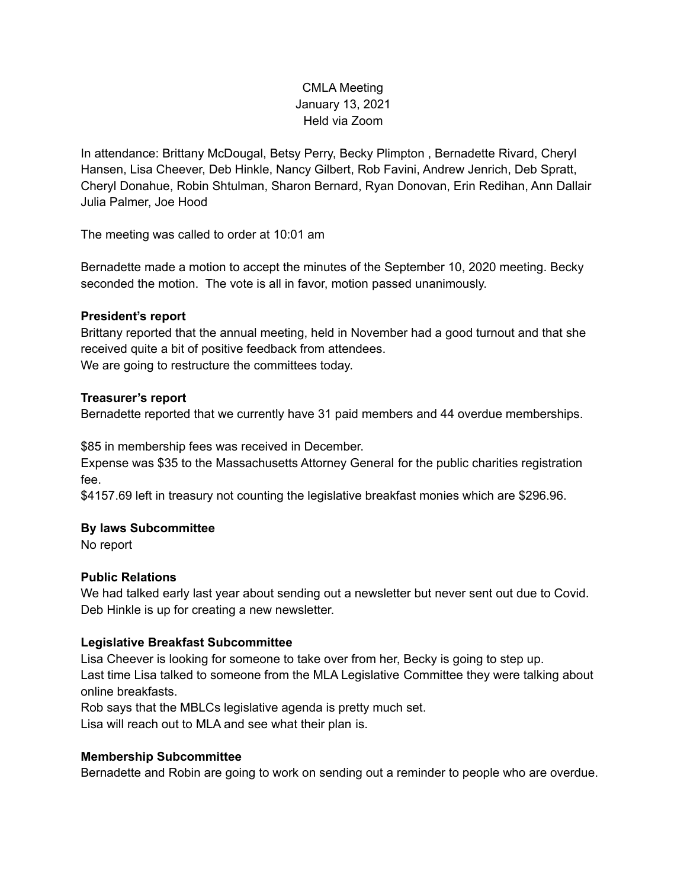# CMLA Meeting January 13, 2021 Held via Zoom

In attendance: Brittany McDougal, Betsy Perry, Becky Plimpton , Bernadette Rivard, Cheryl Hansen, Lisa Cheever, Deb Hinkle, Nancy Gilbert, Rob Favini, Andrew Jenrich, Deb Spratt, Cheryl Donahue, Robin Shtulman, Sharon Bernard, Ryan Donovan, Erin Redihan, Ann Dallair Julia Palmer, Joe Hood

The meeting was called to order at 10:01 am

Bernadette made a motion to accept the minutes of the September 10, 2020 meeting. Becky seconded the motion. The vote is all in favor, motion passed unanimously.

# **President's report**

Brittany reported that the annual meeting, held in November had a good turnout and that she received quite a bit of positive feedback from attendees. We are going to restructure the committees today.

#### **Treasurer's report**

Bernadette reported that we currently have 31 paid members and 44 overdue memberships.

\$85 in membership fees was received in December.

Expense was \$35 to the Massachusetts Attorney General for the public charities registration fee.

\$4157.69 left in treasury not counting the legislative breakfast monies which are \$296.96.

#### **By laws Subcommittee**

No report

# **Public Relations**

We had talked early last year about sending out a newsletter but never sent out due to Covid. Deb Hinkle is up for creating a new newsletter.

# **Legislative Breakfast Subcommittee**

Lisa Cheever is looking for someone to take over from her, Becky is going to step up. Last time Lisa talked to someone from the MLA Legislative Committee they were talking about online breakfasts.

Rob says that the MBLCs legislative agenda is pretty much set.

Lisa will reach out to MLA and see what their plan is.

# **Membership Subcommittee**

Bernadette and Robin are going to work on sending out a reminder to people who are overdue.